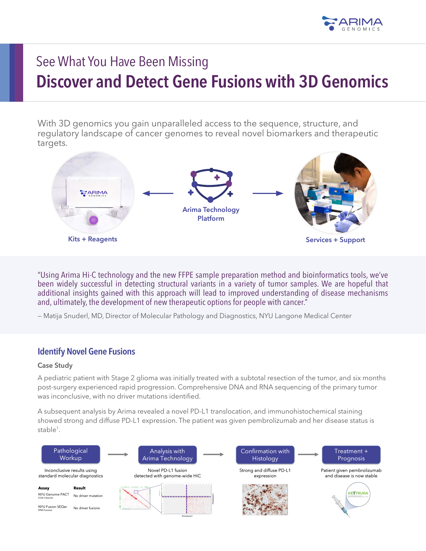

# See What You Have Been Missing **Discover and Detect Gene Fusions with 3D Genomics**

With 3D genomics you gain unparalleled access to the sequence, structure, and regulatory landscape of cancer genomes to reveal novel biomarkers and therapeutic targets.



"Using Arima Hi-C technology and the new FFPE sample preparation method and bioinformatics tools, we've been widely successful in detecting structural variants in a variety of tumor samples. We are hopeful that additional insights gained with this approach will lead to improved understanding of disease mechanisms and, ultimately, the development of new therapeutic options for people with cancer."

— Matija Snuderl, MD, Director of Molecular Pathology and Diagnostics, NYU Langone Medical Center

## **Identify Novel Gene Fusions**

#### **Case Study**

A pediatric patient with Stage 2 glioma was initially treated with a subtotal resection of the tumor, and six months post-surgery experienced rapid progression. Comprehensive DNA and RNA sequencing of the primary tumor was inconclusive, with no driver mutations identified.

A subsequent analysis by Arima revealed a novel PD-L1 translocation, and immunohistochemical staining showed strong and diffuse PD-L1 expression. The patient was given pembrolizumab and her disease status is stable<sup>1</sup>.